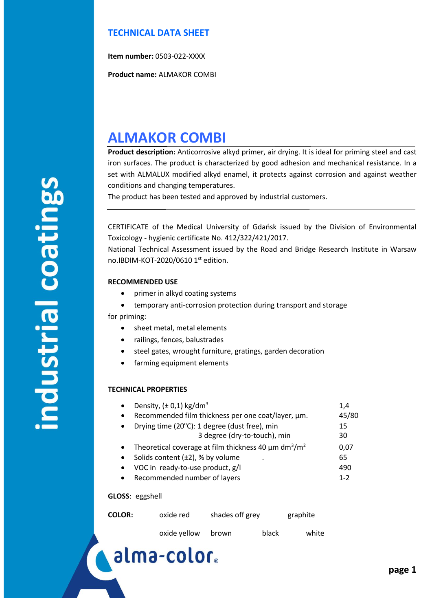### **TECHNICAL DATA SHEET**

**Item number:** 0503-022-XXXX

**Product name:** ALMAKOR COMBI

## **ALMAKOR COMBI**

**Product description:** Anticorrosive alkyd primer, air drying. It is ideal for priming steel and cast iron surfaces. The product is characterized by good adhesion and mechanical resistance. In a set with ALMALUX modified alkyd enamel, it protects against corrosion and against weather conditions and changing temperatures.

The product has been tested and approved by industrial customers.

CERTIFICATE of the Medical University of Gdańsk issued by the Division of Environmental Toxicology - hygienic certificate No. 412/322/421/2017.

National Technical Assessment issued by the Road and Bridge Research Institute in Warsaw no.IBDIM-KOT-2020/0610 1st edition.

#### **RECOMMENDED USE**

- primer in alkyd coating systems
- temporary anti-corrosion protection during transport and storage

for priming:

- sheet metal, metal elements
- railings, fences, balustrades
- steel gates, wrought furniture, gratings, garden decoration
- farming equipment elements

#### **TECHNICAL PROPERTIES**

| Density, $(\pm 0.1)$ kg/dm <sup>3</sup>                                           | 1.4   |
|-----------------------------------------------------------------------------------|-------|
| Recommended film thickness per one coat/layer, µm.                                | 45/80 |
| Drying time (20°C): 1 degree (dust free), min                                     | 15    |
| 3 degree (dry-to-touch), min                                                      | 30    |
| Theoretical coverage at film thickness 40 $\mu$ m dm <sup>3</sup> /m <sup>2</sup> | 0.07  |
| Solids content $(\pm 2)$ , % by volume                                            | 65    |
|                                                                                   |       |

- VOC in ready-to-use product,  $g/I$   $(490$
- Recommended number of layers 1-2

#### **GLOSS**: eggshell

| <b>COLOR:</b> | oxide red    | shades off grey |       | graphite |  |
|---------------|--------------|-----------------|-------|----------|--|
|               | oxide yellow | brown           | black | white    |  |

# alma-color.